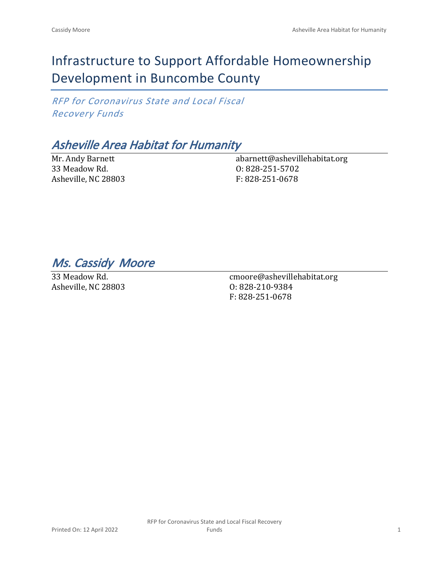# Infrastructure to Support Affordable Homeownership Development in Buncombe County

*RFP for Coronavirus State and Local Fiscal Recovery Funds*

## *Asheville Area Habitat for Humanity*

Mr. Andy Barnett 33 Meadow Rd. Asheville, NC 28803 abarnett@ashevillehabitat.org O: 828-251-5702 F: 828-251-0678

*Ms. Cassidy Moore* 

33 Meadow Rd. Asheville, NC 28803

cmoore@ashevillehabitat.org O: 828-210-9384 F: 828-251-0678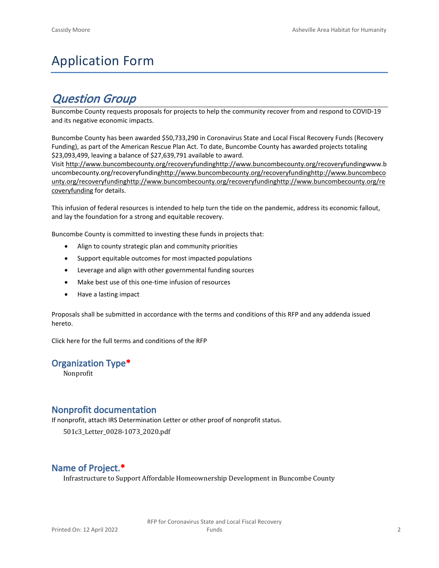# Application Form

### *Question Group*

Buncombe County requests proposals for projects to help the community recover from and respond to COVID-19 and its negative economic impacts.

Buncombe County has been awarded \$50,733,290 in Coronavirus State and Local Fiscal Recovery Funds (Recovery Funding), as part of the American Rescue Plan Act. To date, Buncombe County has awarded projects totaling \$23,093,499, leaving a balance of \$27,639,791 available to award.

Visit [http://www.buncombecounty.org/recoveryfundinghttp://www.buncombecounty.org/recoveryfundingwww.b](http://www.buncombecounty.org/recoveryfunding) [uncombecounty.org/recoveryfundinghttp://www.buncombecounty.org/recoveryfundinghttp://www.buncombeco](http://www.buncombecounty.org/recoveryfunding) [unty.org/recoveryfundinghttp://www.buncombecounty.org/recoveryfundinghttp://www.buncombecounty.org/re](http://www.buncombecounty.org/recoveryfunding) [coveryfunding](http://www.buncombecounty.org/recoveryfunding) for details.

This infusion of federal resources is intended to help turn the tide on the pandemic, address its economic fallout, and lay the foundation for a strong and equitable recovery.

Buncombe County is committed to investing these funds in projects that:

- Align to county strategic plan and community priorities
- Support equitable outcomes for most impacted populations
- Leverage and align with other governmental funding sources
- Make best use of this one-time infusion of resources
- Have a lasting impact

Proposals shall be submitted in accordance with the terms and conditions of this RFP and any addenda issued hereto.

Click [here](https://www.buncombecounty.org/common/purchasing/Buncombe%20Recovery%20Funding%20RFP%202022.pdf) for the full terms and conditions of the RFP

#### **Organization Type\***

Nonprofit

#### **Nonprofit documentation**

If nonprofit, attach IRS Determination Letter or other proof of nonprofit status.

501c3\_Letter\_0028-1073\_2020.pdf

#### **Name of Project.\***

Infrastructure to Support Affordable Homeownership Development in Buncombe County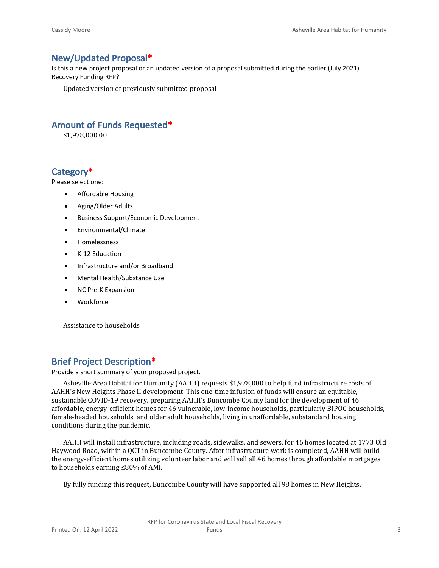#### **New/Updated Proposal\***

Is this a new project proposal or an updated version of a proposal submitted during the earlier (July 2021) Recovery Funding RFP?

Updated version of previously submitted proposal

#### **Amount of Funds Requested\***

\$1,978,000.00

#### **Category\***

Please select one:

- Affordable Housing
- Aging/Older Adults
- Business Support/Economic Development
- Environmental/Climate
- Homelessness
- K-12 Education
- Infrastructure and/or Broadband
- Mental Health/Substance Use
- NC Pre-K Expansion
- Workforce

Assistance to households

#### **Brief Project Description\***

Provide a short summary of your proposed project.

Asheville Area Habitat for Humanity (AAHH) requests \$1,978,000 to help fund infrastructure costs of AAHH's New Heights Phase II development. This one-time infusion of funds will ensure an equitable, sustainable COVID-19 recovery, preparing AAHH's Buncombe County land for the development of 46 affordable, energy-efficient homes for 46 vulnerable, low-income households, particularly BIPOC households, female-headed households, and older adult households, living in unaffordable, substandard housing conditions during the pandemic.

AAHH will install infrastructure, including roads, sidewalks, and sewers, for 46 homes located at 1773 Old Haywood Road, within a QCT in Buncombe County. After infrastructure work is completed, AAHH will build the energy-efficient homes utilizing volunteer labor and will sell all 46 homes through affordable mortgages to households earning ≤80% of AMI.

By fully funding this request, Buncombe County will have supported all 98 homes in New Heights.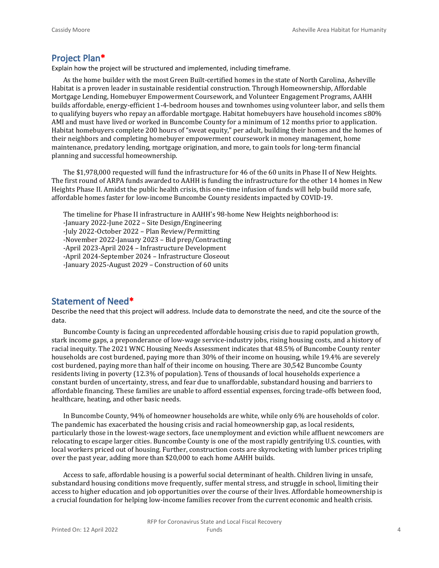#### **Project Plan\***

Explain how the project will be structured and implemented, including timeframe.

As the home builder with the most Green Built-certified homes in the state of North Carolina, Asheville Habitat is a proven leader in sustainable residential construction. Through Homeownership, Affordable Mortgage Lending, Homebuyer Empowerment Coursework, and Volunteer Engagement Programs, AAHH builds affordable, energy-efficient 1-4-bedroom houses and townhomes using volunteer labor, and sells them to qualifying buyers who repay an affordable mortgage. Habitat homebuyers have household incomes ≤80% AMI and must have lived or worked in Buncombe County for a minimum of 12 months prior to application. Habitat homebuyers complete 200 hours of "sweat equity," per adult, building their homes and the homes of their neighbors and completing homebuyer empowerment coursework in money management, home maintenance, predatory lending, mortgage origination, and more, to gain tools for long-term financial planning and successful homeownership.

The \$1,978,000 requested will fund the infrastructure for 46 of the 60 units in Phase II of New Heights. The first round of ARPA funds awarded to AAHH is funding the infrastructure for the other 14 homes in New Heights Phase II. Amidst the public health crisis, this one-time infusion of funds will help build more safe, affordable homes faster for low-income Buncombe County residents impacted by COVID-19.

The timeline for Phase II infrastructure in AAHH's 98-home New Heights neighborhood is:

-January 2022-June 2022 – Site Design/Engineering

-July 2022-October 2022 – Plan Review/Permitting

-November 2022-January 2023 – Bid prep/Contracting

-April 2023-April 2024 – Infrastructure Development

-April 2024-September 2024 – Infrastructure Closeout

-January 2025-August 2029 – Construction of 60 units

#### **Statement of Need\***

Describe the need that this project will address. Include data to demonstrate the need, and cite the source of the data.

Buncombe County is facing an unprecedented affordable housing crisis due to rapid population growth, stark income gaps, a preponderance of low-wage service-industry jobs, rising housing costs, and a history of racial inequity. The 2021 WNC Housing Needs Assessment indicates that 48.5% of Buncombe County renter households are cost burdened, paying more than 30% of their income on housing, while 19.4% are severely cost burdened, paying more than half of their income on housing. There are 30,542 Buncombe County residents living in poverty (12.3% of population). Tens of thousands of local households experience a constant burden of uncertainty, stress, and fear due to unaffordable, substandard housing and barriers to affordable financing. These families are unable to afford essential expenses, forcing trade-offs between food, healthcare, heating, and other basic needs.

In Buncombe County, 94% of homeowner households are white, while only 6% are households of color. The pandemic has exacerbated the housing crisis and racial homeownership gap, as local residents, particularly those in the lowest-wage sectors, face unemployment and eviction while affluent newcomers are relocating to escape larger cities. Buncombe County is one of the most rapidly gentrifying U.S. counties, with local workers priced out of housing. Further, construction costs are skyrocketing with lumber prices tripling over the past year, adding more than \$20,000 to each home AAHH builds.

Access to safe, affordable housing is a powerful social determinant of health. Children living in unsafe, substandard housing conditions move frequently, suffer mental stress, and struggle in school, limiting their access to higher education and job opportunities over the course of their lives. Affordable homeownership is a crucial foundation for helping low-income families recover from the current economic and health crisis.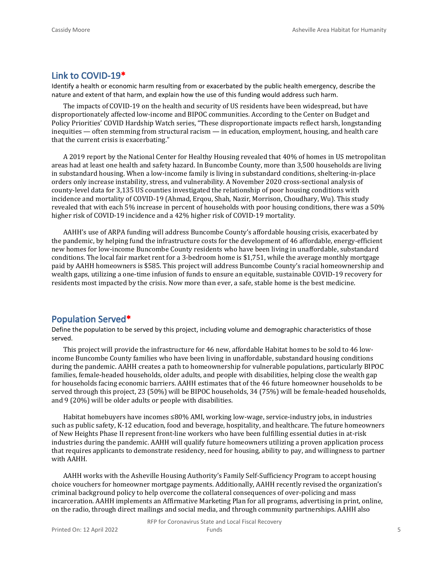#### **Link to COVID-19\***

Identify a health or economic harm resulting from or exacerbated by the public health emergency, describe the nature and extent of that harm, and explain how the use of this funding would address such harm.

The impacts of COVID-19 on the health and security of US residents have been widespread, but have disproportionately affected low-income and BIPOC communities. According to the Center on Budget and Policy Priorities' COVID Hardship Watch series, "These disproportionate impacts reflect harsh, longstanding inequities — often stemming from structural racism — in education, employment, housing, and health care that the current crisis is exacerbating."

A 2019 report by the National Center for Healthy Housing revealed that 40% of homes in US metropolitan areas had at least one health and safety hazard. In Buncombe County, more than 3,500 households are living in substandard housing. When a low-income family is living in substandard conditions, sheltering-in-place orders only increase instability, stress, and vulnerability. A November 2020 cross-sectional analysis of county-level data for 3,135 US counties investigated the relationship of poor housing conditions with incidence and mortality of COVID-19 (Ahmad, Erqou, Shah, Nazir, Morrison, Choudhary, Wu). This study revealed that with each 5% increase in percent of households with poor housing conditions, there was a 50% higher risk of COVID-19 incidence and a 42% higher risk of COVID-19 mortality.

AAHH's use of ARPA funding will address Buncombe County's affordable housing crisis, exacerbated by the pandemic, by helping fund the infrastructure costs for the development of 46 affordable, energy-efficient new homes for low-income Buncombe County residents who have been living in unaffordable, substandard conditions. The local fair market rent for a 3-bedroom home is \$1,751, while the average monthly mortgage paid by AAHH homeowners is \$585. This project will address Buncombe County's racial homeownership and wealth gaps, utilizing a one-time infusion of funds to ensure an equitable, sustainable COVID-19 recovery for residents most impacted by the crisis. Now more than ever, a safe, stable home is the best medicine.

#### **Population Served\***

Define the population to be served by this project, including volume and demographic characteristics of those served.

This project will provide the infrastructure for 46 new, affordable Habitat homes to be sold to 46 lowincome Buncombe County families who have been living in unaffordable, substandard housing conditions during the pandemic. AAHH creates a path to homeownership for vulnerable populations, particularly BIPOC families, female-headed households, older adults, and people with disabilities, helping close the wealth gap for households facing economic barriers. AAHH estimates that of the 46 future homeowner households to be served through this project, 23 (50%) will be BIPOC households, 34 (75%) will be female-headed households, and 9 (20%) will be older adults or people with disabilities.

Habitat homebuyers have incomes ≤80% AMI, working low-wage, service-industry jobs, in industries such as public safety, K-12 education, food and beverage, hospitality, and healthcare. The future homeowners of New Heights Phase II represent front-line workers who have been fulfilling essential duties in at-risk industries during the pandemic. AAHH will qualify future homeowners utilizing a proven application process that requires applicants to demonstrate residency, need for housing, ability to pay, and willingness to partner with AAHH.

AAHH works with the Asheville Housing Authority's Family Self-Sufficiency Program to accept housing choice vouchers for homeowner mortgage payments. Additionally, AAHH recently revised the organization's criminal background policy to help overcome the collateral consequences of over-policing and mass incarceration. AAHH implements an Affirmative Marketing Plan for all programs, advertising in print, online, on the radio, through direct mailings and social media, and through community partnerships. AAHH also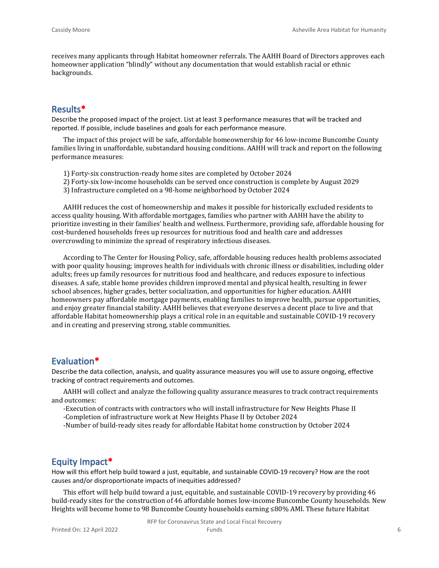receives many applicants through Habitat homeowner referrals. The AAHH Board of Directors approves each homeowner application "blindly" without any documentation that would establish racial or ethnic backgrounds.

#### **Results\***

Describe the proposed impact of the project. List at least 3 performance measures that will be tracked and reported. If possible, include baselines and goals for each performance measure.

The impact of this project will be safe, affordable homeownership for 46 low-income Buncombe County families living in unaffordable, substandard housing conditions. AAHH will track and report on the following performance measures:

- 1) Forty-six construction-ready home sites are completed by October 2024
- 2) Forty-six low-income households can be served once construction is complete by August 2029
- 3) Infrastructure completed on a 98-home neighborhood by October 2024

AAHH reduces the cost of homeownership and makes it possible for historically excluded residents to access quality housing. With affordable mortgages, families who partner with AAHH have the ability to prioritize investing in their families' health and wellness. Furthermore, providing safe, affordable housing for cost-burdened households frees up resources for nutritious food and health care and addresses overcrowding to minimize the spread of respiratory infectious diseases.

According to The Center for Housing Policy, safe, affordable housing reduces health problems associated with poor quality housing; improves health for individuals with chronic illness or disabilities, including older adults; frees up family resources for nutritious food and healthcare, and reduces exposure to infectious diseases. A safe, stable home provides children improved mental and physical health, resulting in fewer school absences, higher grades, better socialization, and opportunities for higher education. AAHH homeowners pay affordable mortgage payments, enabling families to improve health, pursue opportunities, and enjoy greater financial stability. AAHH believes that everyone deserves a decent place to live and that affordable Habitat homeownership plays a critical role in an equitable and sustainable COVID-19 recovery and in creating and preserving strong, stable communities.

#### **Evaluation\***

Describe the data collection, analysis, and quality assurance measures you will use to assure ongoing, effective tracking of contract requirements and outcomes.

AAHH will collect and analyze the following quality assurance measures to track contract requirements and outcomes:

- -Execution of contracts with contractors who will install infrastructure for New Heights Phase II
- -Completion of infrastructure work at New Heights Phase II by October 2024
- -Number of build-ready sites ready for affordable Habitat home construction by October 2024

#### **Equity Impact\***

How will this effort help build toward a just, equitable, and sustainable COVID-19 recovery? How are the root causes and/or disproportionate impacts of inequities addressed?

This effort will help build toward a just, equitable, and sustainable COVID-19 recovery by providing 46 build-ready sites for the construction of 46 affordable homes low-income Buncombe County households. New Heights will become home to 98 Buncombe County households earning ≤80% AMI. These future Habitat

RFP for Coronavirus State and Local Fiscal Recovery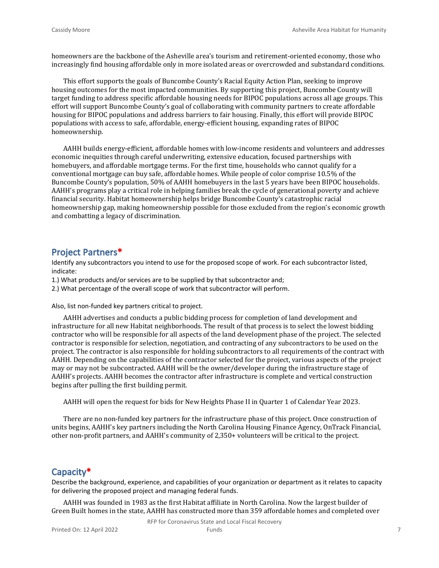homeowners are the backbone of the Asheville area's tourism and retirement-oriented economy, those who increasingly find housing affordable only in more isolated areas or overcrowded and substandard conditions.

This effort supports the goals of Buncombe County's Racial Equity Action Plan, seeking to improve housing outcomes for the most impacted communities. By supporting this project, Buncombe County will target funding to address specific affordable housing needs for BIPOC populations across all age groups. This effort will support Buncombe County's goal of collaborating with community partners to create affordable housing for BIPOC populations and address barriers to fair housing. Finally, this effort will provide BIPOC populations with access to safe, affordable, energy-efficient housing, expanding rates of BIPOC homeownership.

AAHH builds energy-efficient, affordable homes with low-income residents and volunteers and addresses economic inequities through careful underwriting, extensive education, focused partnerships with homebuyers, and affordable mortgage terms. For the first time, households who cannot qualify for a conventional mortgage can buy safe, affordable homes. While people of color comprise 10.5% of the Buncombe County's population, 50% of AAHH homebuyers in the last 5 years have been BIPOC households. AAHH's programs play a critical role in helping families break the cycle of generational poverty and achieve financial security. Habitat homeownership helps bridge Buncombe County's catastrophic racial homeownership gap, making homeownership possible for those excluded from the region's economic growth and combatting a legacy of discrimination.

#### **Project Partners\***

Identify any subcontractors you intend to use for the proposed scope of work. For each subcontractor listed, indicate:

1.) What products and/or services are to be supplied by that subcontractor and;

2.) What percentage of the overall scope of work that subcontractor will perform.

Also, list non-funded key partners critical to project.

AAHH advertises and conducts a public bidding process for completion of land development and infrastructure for all new Habitat neighborhoods. The result of that process is to select the lowest bidding contractor who will be responsible for all aspects of the land development phase of the project. The selected contractor is responsible for selection, negotiation, and contracting of any subcontractors to be used on the project. The contractor is also responsible for holding subcontractors to all requirements of the contract with AAHH. Depending on the capabilities of the contractor selected for the project, various aspects of the project may or may not be subcontracted. AAHH will be the owner/developer during the infrastructure stage of AAHH's projects. AAHH becomes the contractor after infrastructure is complete and vertical construction begins after pulling the first building permit.

AAHH will open the request for bids for New Heights Phase II in Quarter 1 of Calendar Year 2023.

There are no non-funded key partners for the infrastructure phase of this project. Once construction of units begins, AAHH's key partners including the North Carolina Housing Finance Agency, OnTrack Financial, other non-profit partners, and AAHH's community of 2,350+ volunteers will be critical to the project.

#### **Capacity\***

Describe the background, experience, and capabilities of your organization or department as it relates to capacity for delivering the proposed project and managing federal funds.

AAHH was founded in 1983 as the first Habitat affiliate in North Carolina. Now the largest builder of Green Built homes in the state, AAHH has constructed more than 359 affordable homes and completed over

RFP for Coronavirus State and Local Fiscal Recovery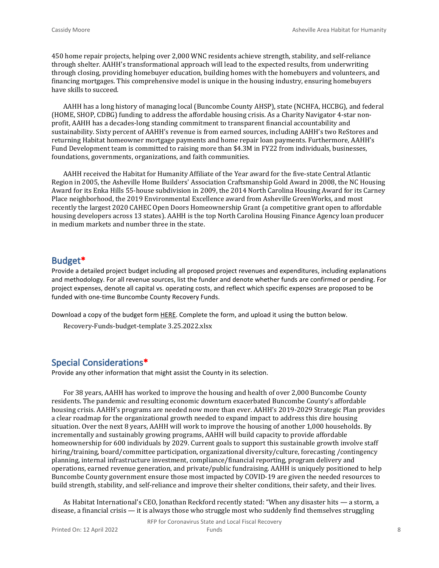450 home repair projects, helping over 2,000 WNC residents achieve strength, stability, and self-reliance through shelter. AAHH's transformational approach will lead to the expected results, from underwriting through closing, providing homebuyer education, building homes with the homebuyers and volunteers, and financing mortgages. This comprehensive model is unique in the housing industry, ensuring homebuyers have skills to succeed.

AAHH has a long history of managing local (Buncombe County AHSP), state (NCHFA, HCCBG), and federal (HOME, SHOP, CDBG) funding to address the affordable housing crisis. As a Charity Navigator 4-star nonprofit, AAHH has a decades-long standing commitment to transparent financial accountability and sustainability. Sixty percent of AAHH's revenue is from earned sources, including AAHH's two ReStores and returning Habitat homeowner mortgage payments and home repair loan payments. Furthermore, AAHH's Fund Development team is committed to raising more than \$4.3M in FY22 from individuals, businesses, foundations, governments, organizations, and faith communities.

AAHH received the Habitat for Humanity Affiliate of the Year award for the five-state Central Atlantic Region in 2005, the Asheville Home Builders' Association Craftsmanship Gold Award in 2008, the NC Housing Award for its Enka Hills 55-house subdivision in 2009, the 2014 North Carolina Housing Award for its Carney Place neighborhood, the 2019 Environmental Excellence award from Asheville GreenWorks, and most recently the largest 2020 CAHEC Open Doors Homeownership Grant (a competitive grant open to affordable housing developers across 13 states). AAHH is the top North Carolina Housing Finance Agency loan producer in medium markets and number three in the state.

#### **Budget\***

Provide a detailed project budget including all proposed project revenues and expenditures, including explanations and methodology. For all revenue sources, list the funder and denote whether funds are confirmed or pending. For project expenses, denote all capital vs. operating costs, and reflect which specific expenses are proposed to be funded with one-time Buncombe County Recovery Funds.

Download a copy of the budget form [HERE](https://buncombecounty.org/common/community-investment/grants/early-childhood-education/Recovery-Funds-budget-template.xlsx). Complete the form, and upload it using the button below.

Recovery-Funds-budget-template 3.25.2022.xlsx

#### **Special Considerations\***

Provide any other information that might assist the County in its selection.

For 38 years, AAHH has worked to improve the housing and health of over 2,000 Buncombe County residents. The pandemic and resulting economic downturn exacerbated Buncombe County's affordable housing crisis. AAHH's programs are needed now more than ever. AAHH's 2019-2029 Strategic Plan provides a clear roadmap for the organizational growth needed to expand impact to address this dire housing situation. Over the next 8 years, AAHH will work to improve the housing of another 1,000 households. By incrementally and sustainably growing programs, AAHH will build capacity to provide affordable homeownership for 600 individuals by 2029. Current goals to support this sustainable growth involve staff hiring/training, board/committee participation, organizational diversity/culture, forecasting /contingency planning, internal infrastructure investment, compliance/financial reporting, program delivery and operations, earned revenue generation, and private/public fundraising. AAHH is uniquely positioned to help Buncombe County government ensure those most impacted by COVID-19 are given the needed resources to build strength, stability, and self-reliance and improve their shelter conditions, their safety, and their lives.

As Habitat International's CEO, Jonathan Reckford recently stated: "When any disaster hits — a storm, a disease, a financial crisis — it is always those who struggle most who suddenly find themselves struggling

RFP for Coronavirus State and Local Fiscal Recovery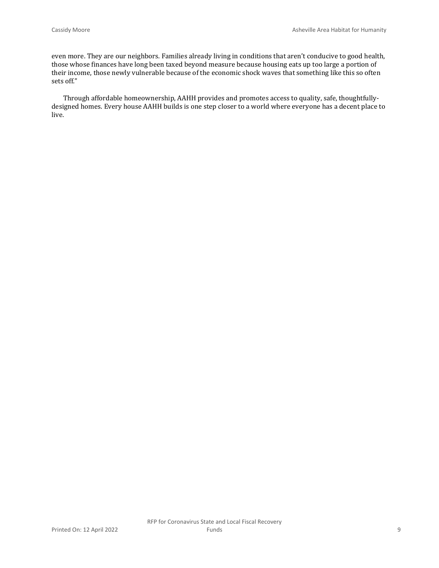even more. They are our neighbors. Families already living in conditions that aren't conducive to good health, those whose finances have long been taxed beyond measure because housing eats up too large a portion of their income, those newly vulnerable because of the economic shock waves that something like this so often sets off."

Through affordable homeownership, AAHH provides and promotes access to quality, safe, thoughtfullydesigned homes. Every house AAHH builds is one step closer to a world where everyone has a decent place to live.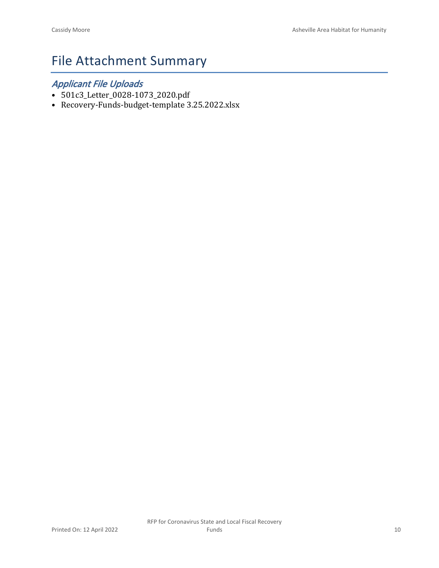## File Attachment Summary

### *Applicant File Uploads*

- 501c3\_Letter\_0028-1073\_2020.pdf
- Recovery-Funds-budget-template 3.25.2022.xlsx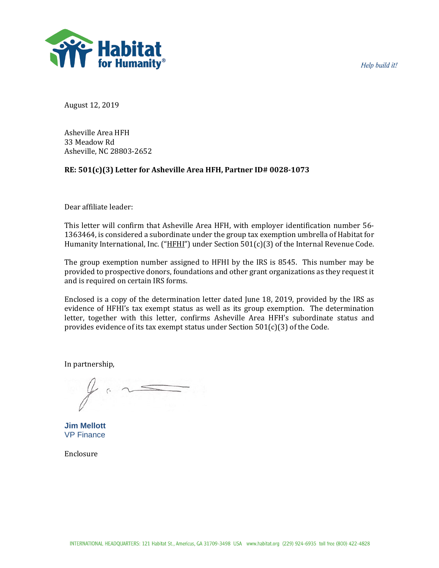Help build it!



August 12, 2019

Asheville Area HFH 33 Meadow Rd Asheville, NC 28803-2652

#### **RE: 501(c)(3) Letter for Asheville Area HFH, Partner ID# 0028-1073**

Dear affiliate leader:

This letter will confirm that Asheville Area HFH, with employer identification number 56- 1363464, is considered a subordinate under the group tax exemption umbrella of Habitat for Humanity International, Inc. ("HFHI") under Section 501(c)(3) of the Internal Revenue Code.

The group exemption number assigned to HFHI by the IRS is 8545. This number may be provided to prospective donors, foundations and other grant organizations as they request it and is required on certain IRS forms.

Enclosed is a copy of the determination letter dated June 18, 2019, provided by the IRS as evidence of HFHI's tax exempt status as well as its group exemption. The determination letter, together with this letter, confirms Asheville Area HFH's subordinate status and provides evidence of its tax exempt status under Section  $501(c)(3)$  of the Code.

In partnership,

**Jim Mellott** VP Finance

Enclosure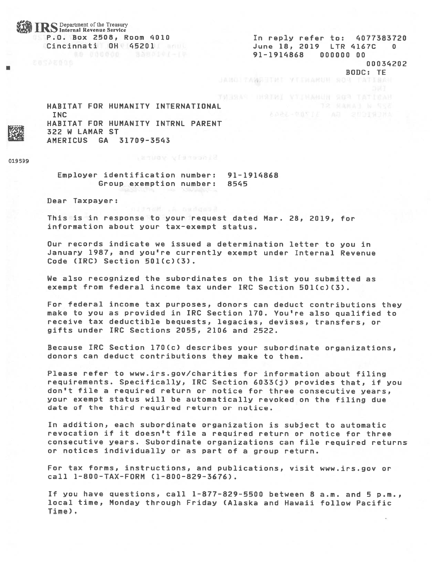#### **IRS** Department of the Treasury P.O. Box 2508, Room 4010 Cincinnati OH 45201

In reply refer to: 4077383720 June 18, 2019 LTR 4167C - 0 91-1914868 000000 00 00034202

BODC: TE

JANGITANGHIMI YILIAARUH NOR TATTEAN

HABITAT FOR HUMANITY INTERNATIONAL **INC** HABITAT FOR HUMANITY INTRNL PARENT 322 W LAMAR ST AMERICUS GA 31709-3543

019599

Employer identification number: 91-1914868 Group exemption number: 8545

Dear Taxpayer:

This is in response to your request dated Mar. 28, 2019, for information about your tax-exempt status.

Our records indicate we issued a determination letter to you in January 1987, and you're currently exempt under Internal Revenue Code (IRC) Section 501(c)(3).

We also recognized the subordinates on the list you submitted as exempt from federal income tax under IRC Section 501(c)(3).

For federal income tax purposes, donors can deduct contributions they make to you as provided in IRC Section 170. You're also qualified to receive tax deductible bequests, legacies, devises, transfers, or gifts under IRC Sections 2055, 2106 and 2522.

Because IRC Section 170(c) describes your subordinate organizations, donors can deduct contributions they make to them.

Please refer to www.irs.gov/charities for information about filing requirements. Specifically, IRC Section 6033(j) provides that, if you don't file a required return or notice for three consecutive years, your exempt status will be automatically revoked on the filing due date of the third required return or notice.

In addition, each subordinate organization is subject to automatic revocation if it doesn't file a required return or notice for three consecutive years. Subordinate organizations can file required returns or notices individually or as part of a group return.

For tax forms, instructions, and publications, visit www.irs.gov or call 1-800-TAX-FORM (1-800-829-3676).

If you have questions, call 1-877-829-5500 between 8 a.m. and 5 p.m., local time, Monday through Friday (Alaska and Hawaii follow Pacific Time).

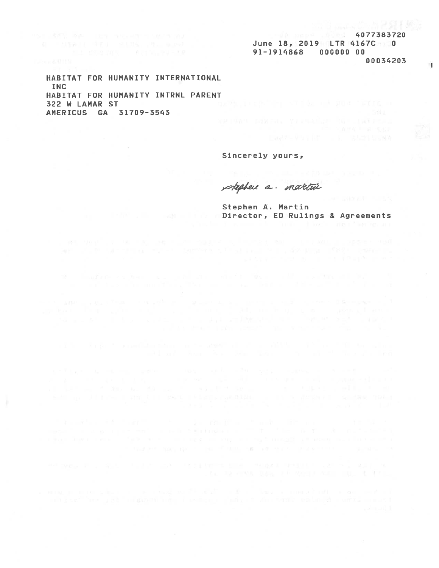June 18, 2019 LTR 4167C 0 91-1914868 000000 00 00034203

HABITAT FOR HUMANITY INTERNATIONAL **TNC** HABITAT FOR HUMANITY INTRNL PARENT 322 W LAMAR ST AMERICUS GA 31709-3543

Sincerely yours,

stephen a. martin

Stephen A. Martin **EDirector, ED Rulings & Agreements**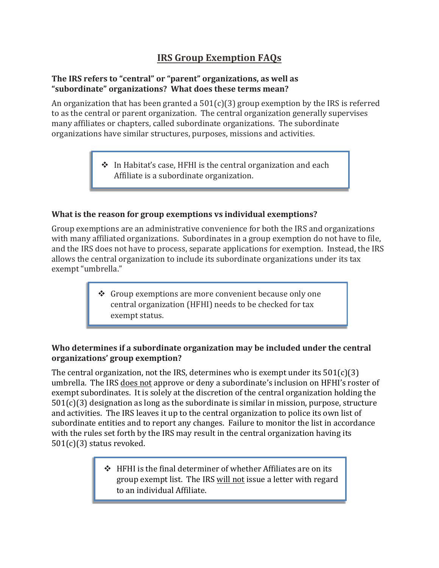### **IRS Group Exemption FAQs**

#### **The IRS refers to "central" or "parent" organizations, as well as "subordinate" organizations? What does these terms mean?**

An organization that has been granted a  $501(c)(3)$  group exemption by the IRS is referred to as the central or parent organization. The central organization generally supervises many affiliates or chapters, called subordinate organizations. The subordinate organizations have similar structures, purposes, missions and activities.

> $\triangleq$  In Habitat's case, HFHI is the central organization and each Affiliate is a subordinate organization.

#### **What is the reason for group exemptions vs individual exemptions?**

Group exemptions are an administrative convenience for both the IRS and organizations with many affiliated organizations. Subordinates in a group exemption do not have to file, and the IRS does not have to process, separate applications for exemption. Instead, the IRS allows the central organization to include its subordinate organizations under its tax exempt "umbrella."

> $\div$  Group exemptions are more convenient because only one central organization (HFHI) needs to be checked for tax exempt status.

#### **Who determines if a subordinate organization may be included under the central organizations' group exemption?**

The central organization, not the IRS, determines who is exempt under its  $501(c)(3)$ umbrella. The IRS does not approve or deny a subordinate's inclusion on HFHI's roster of exempt subordinates. It is solely at the discretion of the central organization holding the 501(c)(3) designation as long as the subordinate is similar in mission, purpose, structure and activities. The IRS leaves it up to the central organization to police its own list of subordinate entities and to report any changes. Failure to monitor the list in accordance with the rules set forth by the IRS may result in the central organization having its 501(c)(3) status revoked.

> $\div$  HFHI is the final determiner of whether Affiliates are on its group exempt list. The IRS will not issue a letter with regard to an individual Affiliate.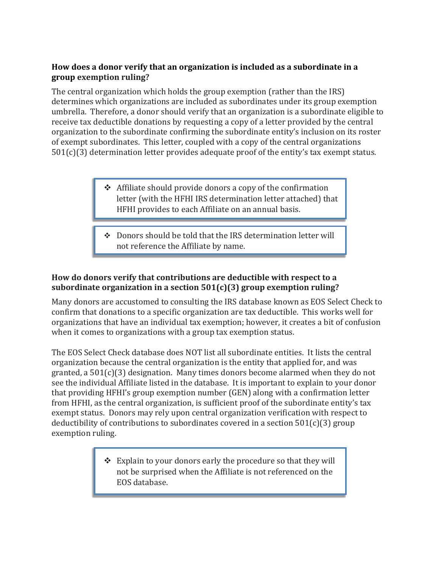#### **How does a donor verify that an organization is included as a subordinate in a group exemption ruling?**

The central organization which holds the group exemption (rather than the IRS) determines which organizations are included as subordinates under its group exemption umbrella. Therefore, a donor should verify that an organization is a subordinate eligible to receive tax deductible donations by requesting a copy of a letter provided by the central organization to the subordinate confirming the subordinate entity's inclusion on its roster of exempt subordinates. This letter, coupled with a copy of the central organizations 501(c)(3) determination letter provides adequate proof of the entity's tax exempt status.

- $\triangleleft$  Affiliate should provide donors a copy of the confirmation letter (with the HFHI IRS determination letter attached) that HFHI provides to each Affiliate on an annual basis.
- $\div$  Donors should be told that the IRS determination letter will not reference the Affiliate by name.

#### **How do donors verify that contributions are deductible with respect to a subordinate organization in a section 501(c)(3) group exemption ruling?**

۰

Many donors are accustomed to consulting the IRS database known as EOS Select Check to confirm that donations to a specific organization are tax deductible. This works well for organizations that have an individual tax exemption; however, it creates a bit of confusion when it comes to organizations with a group tax exemption status.

The EOS Select Check database does NOT list all subordinate entities. It lists the central organization because the central organization is the entity that applied for, and was granted, a 501(c)(3) designation. Many times donors become alarmed when they do not see the individual Affiliate listed in the database. It is important to explain to your donor that providing HFHI's group exemption number (GEN) along with a confirmation letter from HFHI, as the central organization, is sufficient proof of the subordinate entity's tax exempt status. Donors may rely upon central organization verification with respect to deductibility of contributions to subordinates covered in a section  $501(c)(3)$  group exemption ruling.

> ❖ Explain to your donors early the procedure so that they will not be surprised when the Affiliate is not referenced on the EOS database.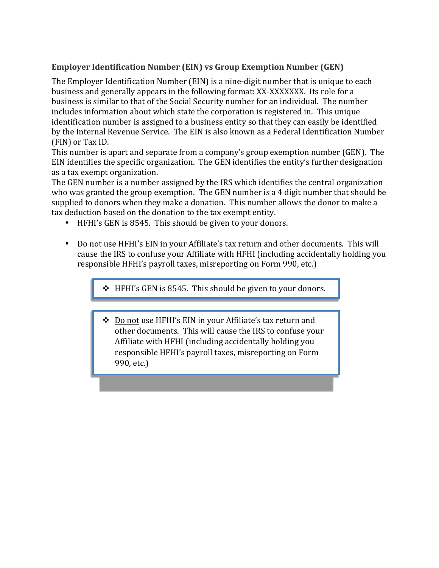#### **Employer Identification Number (EIN) vs Group Exemption Number (GEN)**

The Employer Identification Number (EIN) is a nine-digit number that is unique to each business and generally appears in the following format: XX-XXXXXXX. Its role for a business is similar to that of the Social Security number for an individual. The number includes information about which state the corporation is registered in. This unique identification number is assigned to a business entity so that they can easily be identified by the Internal Revenue Service. The EIN is also known as a Federal Identification Number (FIN) or Tax ID.

This number is apart and separate from a company's group exemption number (GEN). The EIN identifies the specific organization. The GEN identifies the entity's further designation as a tax exempt organization.

The GEN number is a number assigned by the IRS which identifies the central organization who was granted the group exemption. The GEN number is a 4 digit number that should be supplied to donors when they make a donation. This number allows the donor to make a tax deduction based on the donation to the tax exempt entity.

- HFHI's GEN is 8545. This should be given to your donors.
- Do not use HFHI's EIN in your Affiliate's tax return and other documents. This will cause the IRS to confuse your Affiliate with HFHI (including accidentally holding you responsible HFHI's payroll taxes, misreporting on Form 990, etc.)

 $\div$  HFHI's GEN is 8545. This should be given to your donors.

 Do not use HFHI's EIN in your Affiliate's tax return and other documents. This will cause the IRS to confuse your Affiliate with HFHI (including accidentally holding you responsible HFHI's payroll taxes, misreporting on Form 990, etc.)